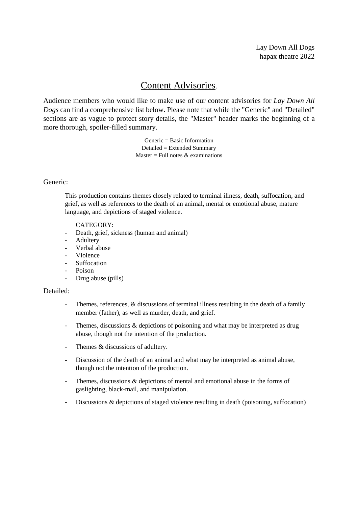# Content Advisories.

Audience members who would like to make use of our content advisories for *Lay Down All Dogs* can find a comprehensive list below. Please note that while the "Generic" and "Detailed" sections are as vague to protect story details, the "Master" header marks the beginning of a more thorough, spoiler-filled summary.

> Generic = Basic Information Detailed = Extended Summary Master = Full notes  $&$  examinations

# Generic:

This production contains themes closely related to terminal illness, death, suffocation, and grief, as well as references to the death of an animal, mental or emotional abuse, mature language, and depictions of staged violence.

## CATEGORY:

- Death, grief, sickness (human and animal)
- Adultery
- Verbal abuse
- Violence
- **Suffocation**
- Poison
- Drug abuse (pills)

## Detailed:

- Themes, references, & discussions of terminal illness resulting in the death of a family member (father), as well as murder, death, and grief.
- Themes, discussions  $\&$  depictions of poisoning and what may be interpreted as drug abuse, though not the intention of the production.
- Themes & discussions of adultery.
- Discussion of the death of an animal and what may be interpreted as animal abuse, though not the intention of the production.
- Themes, discussions  $&$  depictions of mental and emotional abuse in the forms of gaslighting, black-mail, and manipulation.
- Discussions & depictions of staged violence resulting in death (poisoning, suffocation)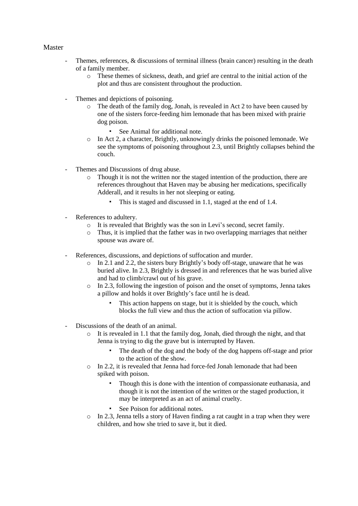## Master

- Themes, references, & discussions of terminal illness (brain cancer) resulting in the death of a family member.
	- o These themes of sickness, death, and grief are central to the initial action of the plot and thus are consistent throughout the production.
- Themes and depictions of poisoning.
	- o The death of the family dog, Jonah, is revealed in Act 2 to have been caused by one of the sisters force-feeding him lemonade that has been mixed with prairie dog poison.
		- See Animal for additional note.
	- o In Act 2, a character, Brightly, unknowingly drinks the poisoned lemonade. We see the symptoms of poisoning throughout 2.3, until Brightly collapses behind the couch.
- Themes and Discussions of drug abuse.
	- $\circ$  Though it is not the written nor the staged intention of the production, there are references throughout that Haven may be abusing her medications, specifically Adderall, and it results in her not sleeping or eating.
		- This is staged and discussed in 1.1, staged at the end of 1.4.
- References to adultery.
	- o It is revealed that Brightly was the son in Levi's second, secret family.
	- o Thus, it is implied that the father was in two overlapping marriages that neither spouse was aware of.
- References, discussions, and depictions of suffocation and murder.
	- o In 2.1 and 2.2, the sisters bury Brightly's body off-stage, unaware that he was buried alive. In 2.3, Brightly is dressed in and references that he was buried alive and had to climb/crawl out of his grave.
	- o In 2.3, following the ingestion of poison and the onset of symptoms, Jenna takes a pillow and holds it over Brightly's face until he is dead.
		- This action happens on stage, but it is shielded by the couch, which blocks the full view and thus the action of suffocation via pillow.
- Discussions of the death of an animal.
	- o It is revealed in 1.1 that the family dog, Jonah, died through the night, and that Jenna is trying to dig the grave but is interrupted by Haven.
		- The death of the dog and the body of the dog happens off-stage and prior to the action of the show.
	- o In 2.2, it is revealed that Jenna had force-fed Jonah lemonade that had been spiked with poison.
		- Though this is done with the intention of compassionate euthanasia, and though it is not the intention of the written or the staged production, it may be interpreted as an act of animal cruelty.
		- See Poison for additional notes.
	- o In 2.3, Jenna tells a story of Haven finding a rat caught in a trap when they were children, and how she tried to save it, but it died.